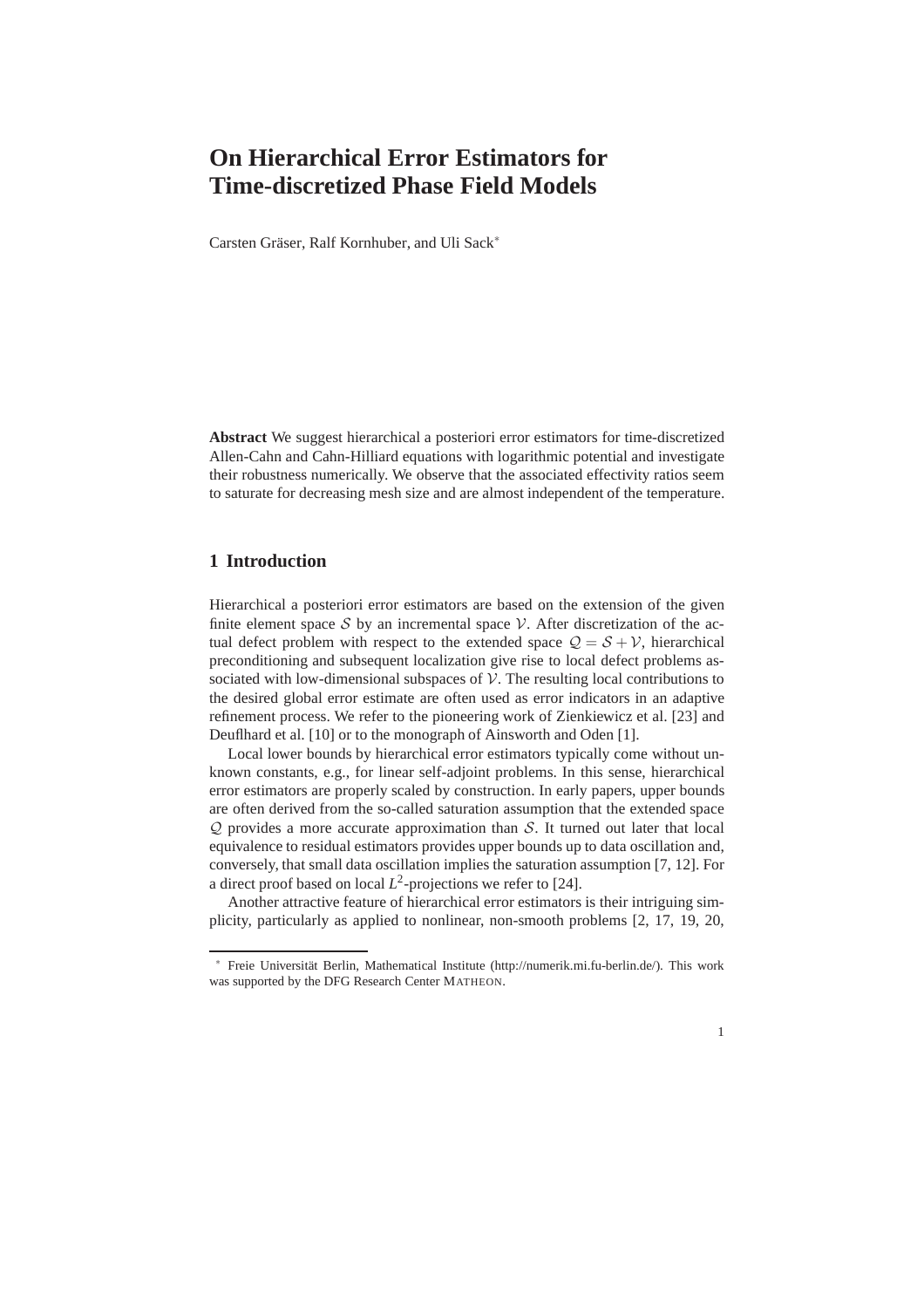# **On Hierarchical Error Estimators for Time-discretized Phase Field Models**

Carsten Gräser, Ralf Kornhuber, and Uli Sack<sup>\*</sup>

**Abstract** We suggest hierarchical a posteriori error estimators for time-discretized Allen-Cahn and Cahn-Hilliard equations with logarithmic potential and investigate their robustness numerically. We observe that the associated effectivity ratios seem to saturate for decreasing mesh size and are almost independent of the temperature.

#### **1 Introduction**

Hierarchical a posteriori error estimators are based on the extension of the given finite element space S by an incremental space V. After discretization of the actual defect problem with respect to the extended space  $Q = S + V$ , hierarchical preconditioning and subsequent localization give rise to local defect problems associated with low-dimensional subspaces of  $\mathcal V$ . The resulting local contributions to the desired global error estimate are often used as error indicators in an adaptive refinement process. We refer to the pioneering work of Zienkiewicz et al. [23] and Deuflhard et al. [10] or to the monograph of Ainsworth and Oden [1].

Local lower bounds by hierarchical error estimators typically come without unknown constants, e.g., for linear self-adjoint problems. In this sense, hierarchical error estimators are properly scaled by construction. In early papers, upper bounds are often derived from the so-called saturation assumption that the extended space  $Q$  provides a more accurate approximation than  $S$ . It turned out later that local equivalence to residual estimators provides upper bounds up to data oscillation and, conversely, that small data oscillation implies the saturation assumption [7, 12]. For a direct proof based on local  $L^2$ -projections we refer to [24].

Another attractive feature of hierarchical error estimators is their intriguing simplicity, particularly as applied to nonlinear, non-smooth problems [2, 17, 19, 20,

<sup>∗</sup> Freie Universit¨at Berlin, Mathematical Institute (http://numerik.mi.fu-berlin.de/). This work was supported by the DFG Research Center MATHEON.

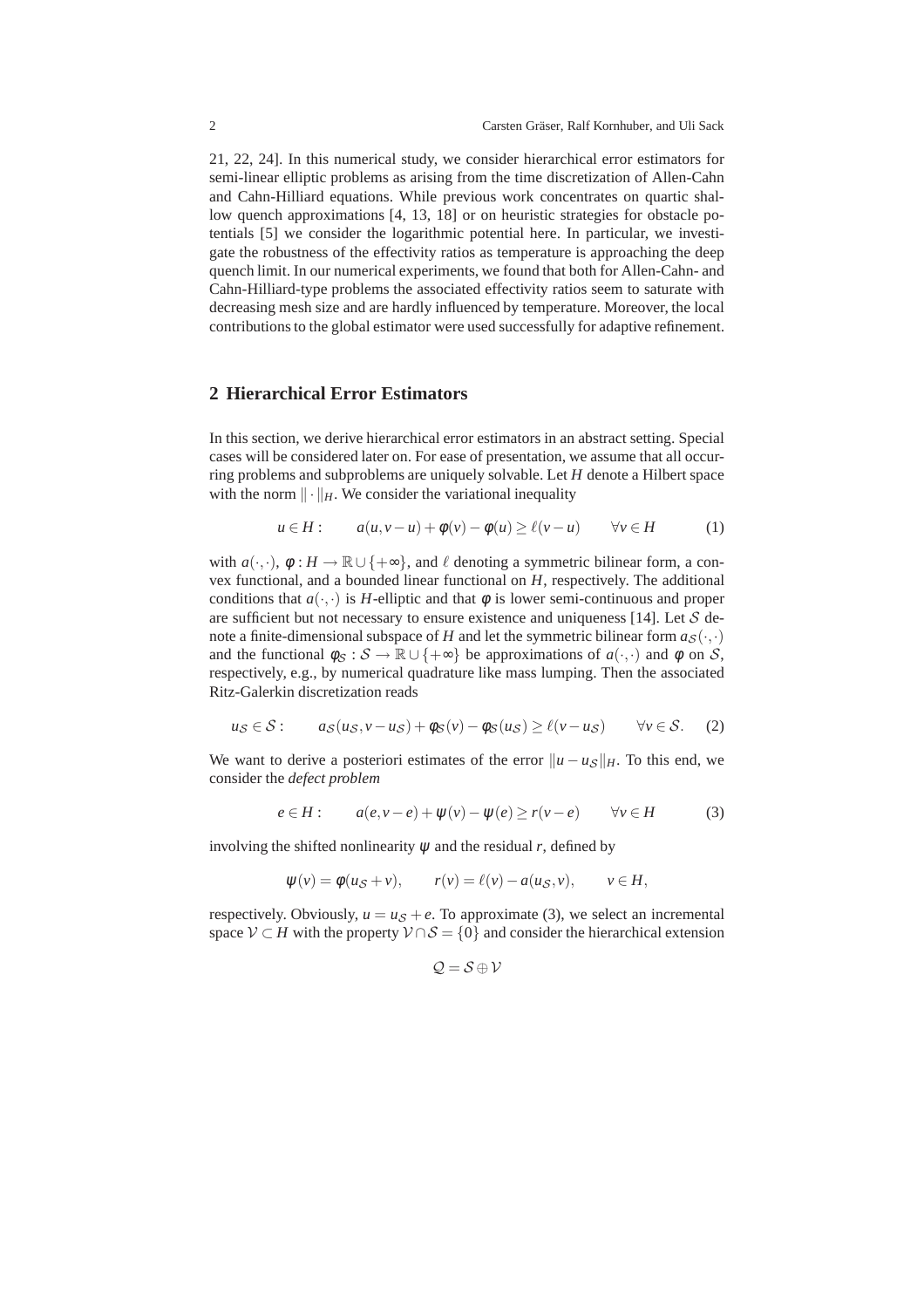21, 22, 24]. In this numerical study, we consider hierarchical error estimators for semi-linear elliptic problems as arising from the time discretization of Allen-Cahn and Cahn-Hilliard equations. While previous work concentrates on quartic shallow quench approximations [4, 13, 18] or on heuristic strategies for obstacle potentials [5] we consider the logarithmic potential here. In particular, we investigate the robustness of the effectivity ratios as temperature is approaching the deep quench limit. In our numerical experiments, we found that both for Allen-Cahn- and Cahn-Hilliard-type problems the associated effectivity ratios seem to saturate with decreasing mesh size and are hardly influenced by temperature. Moreover, the local contributions to the global estimator were used successfully for adaptive refinement.

#### **2 Hierarchical Error Estimators**

In this section, we derive hierarchical error estimators in an abstract setting. Special cases will be considered later on. For ease of presentation, we assume that all occurring problems and subproblems are uniquely solvable. Let *H* denote a Hilbert space with the norm  $\|\cdot\|_H$ . We consider the variational inequality

$$
u \in H: \qquad a(u, v - u) + \phi(v) - \phi(u) \ge \ell(v - u) \qquad \forall v \in H \tag{1}
$$

with  $a(\cdot,\cdot)$ ,  $\phi: H \to \mathbb{R} \cup \{+\infty\}$ , and  $\ell$  denoting a symmetric bilinear form, a convex functional, and a bounded linear functional on *H*, respectively. The additional conditions that  $a(\cdot, \cdot)$  is *H*-elliptic and that  $\phi$  is lower semi-continuous and proper are sufficient but not necessary to ensure existence and uniqueness [14]. Let  $S$  denote a finite-dimensional subspace of *H* and let the symmetric bilinear form  $a_S(\cdot, \cdot)$ and the functional  $\phi_S : S \to \mathbb{R} \cup \{+\infty\}$  be approximations of  $a(\cdot, \cdot)$  and  $\phi$  on S, respectively, e.g., by numerical quadrature like mass lumping. Then the associated Ritz-Galerkin discretization reads

$$
u_{\mathcal{S}} \in \mathcal{S}: \qquad a_{\mathcal{S}}(u_{\mathcal{S}}, v - u_{\mathcal{S}}) + \phi_{\mathcal{S}}(v) - \phi_{\mathcal{S}}(u_{\mathcal{S}}) \ge \ell(v - u_{\mathcal{S}}) \qquad \forall v \in \mathcal{S}.
$$
 (2)

We want to derive a posteriori estimates of the error  $||u - u_S||_H$ . To this end, we consider the *defect problem*

$$
e \in H: \qquad a(e, v - e) + \psi(v) - \psi(e) \ge r(v - e) \qquad \forall v \in H \tag{3}
$$

involving the shifted nonlinearity  $\psi$  and the residual  $r$ , defined by

$$
\psi(v) = \phi(us + v), \qquad r(v) = \ell(v) - a(us, v), \qquad v \in H,
$$

respectively. Obviously,  $u = u<sub>S</sub> + e$ . To approximate (3), we select an incremental space  $V \subset H$  with the property  $V \cap S = \{0\}$  and consider the hierarchical extension

$$
\mathcal{Q}=\mathcal{S}\oplus\mathcal{V}
$$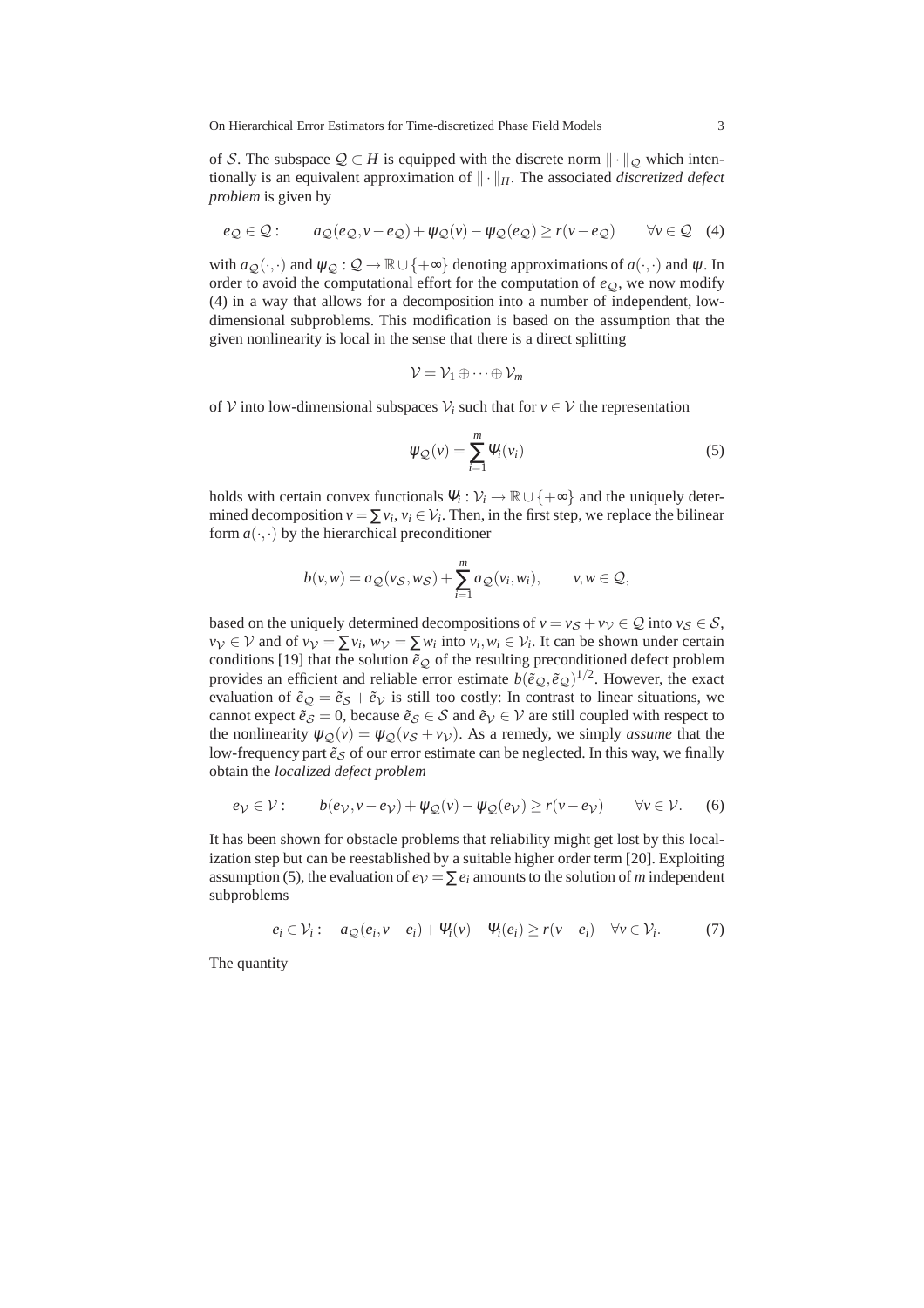On Hierarchical Error Estimators for Time-discretized Phase Field Models 3

of S. The subspace  $\mathcal{Q} \subset H$  is equipped with the discrete norm  $\|\cdot\|_{\mathcal{Q}}$  which intentionally is an equivalent approximation of  $\|\cdot\|_H$ . The associated *discretized defect problem* is given by

$$
e_{\mathcal{Q}} \in \mathcal{Q}: \qquad a_{\mathcal{Q}}(e_{\mathcal{Q}}, v - e_{\mathcal{Q}}) + \psi_{\mathcal{Q}}(v) - \psi_{\mathcal{Q}}(e_{\mathcal{Q}}) \ge r(v - e_{\mathcal{Q}}) \qquad \forall v \in \mathcal{Q} \quad (4)
$$

with  $a_Q(\cdot,\cdot)$  and  $\psi_Q: Q \to \mathbb{R} \cup \{+\infty\}$  denoting approximations of  $a(\cdot,\cdot)$  and  $\psi$ . In order to avoid the computational effort for the computation of  $e_Q$ , we now modify (4) in a way that allows for a decomposition into a number of independent, lowdimensional subproblems. This modification is based on the assumption that the given nonlinearity is local in the sense that there is a direct splitting

$$
\mathcal{V}=\mathcal{V}_1\oplus\cdots\oplus\mathcal{V}_m
$$

of V into low-dimensional subspaces  $V_i$  such that for  $v \in V$  the representation

$$
\psi_{\mathcal{Q}}(v) = \sum_{i=1}^{m} \Psi_i(v_i)
$$
\n(5)

holds with certain convex functionals  $\Psi_i : \mathcal{V}_i \to \mathbb{R} \cup \{+\infty\}$  and the uniquely determined decomposition  $v = \sum v_i$ ,  $v_i \in V_i$ . Then, in the first step, we replace the bilinear form  $a(\cdot, \cdot)$  by the hierarchical preconditioner

$$
b(v,w) = a_{\mathcal{Q}}(v_{\mathcal{S}},w_{\mathcal{S}}) + \sum_{i=1}^{m} a_{\mathcal{Q}}(v_i,w_i), \qquad v, w \in \mathcal{Q},
$$

based on the uniquely determined decompositions of  $v = v_S + v_V \in \mathcal{Q}$  into  $v_S \in \mathcal{S}$ ,  $v_V \in V$  and of  $v_V = \sum v_i$ ,  $w_V = \sum w_i$  into  $v_i$ ,  $w_i \in V_i$ . It can be shown under certain conditions [19] that the solution  $\tilde{e}_{\mathcal{Q}}$  of the resulting preconditioned defect problem provides an efficient and reliable error estimate  $b(\tilde{e}_\mathcal{Q}, \tilde{e}_\mathcal{Q})^{1/2}$ . However, the exact evaluation of  $\tilde{e}_Q = \tilde{e}_S + \tilde{e}_V$  is still too costly: In contrast to linear situations, we cannot expect  $\tilde{e}_s = 0$ , because  $\tilde{e}_s \in S$  and  $\tilde{e}_v \in V$  are still coupled with respect to the nonlinearity  $\psi_{\mathcal{Q}}(v) = \psi_{\mathcal{Q}}(v_{\mathcal{S}} + v_{\mathcal{V}})$ . As a remedy, we simply *assume* that the low-frequency part  $\tilde{e}_s$  of our error estimate can be neglected. In this way, we finally obtain the *localized defect problem*

$$
e_{\mathcal{V}} \in \mathcal{V}: \qquad b(e_{\mathcal{V}}, v - e_{\mathcal{V}}) + \psi_{\mathcal{Q}}(v) - \psi_{\mathcal{Q}}(e_{\mathcal{V}}) \ge r(v - e_{\mathcal{V}}) \qquad \forall v \in \mathcal{V}. \tag{6}
$$

It has been shown for obstacle problems that reliability might get lost by this localization step but can be reestablished by a suitable higher order term [20]. Exploiting assumption (5), the evaluation of  $e_V = \sum e_i$  amounts to the solution of *m* independent subproblems

$$
e_i \in \mathcal{V}_i: \quad a_{\mathcal{Q}}(e_i, v - e_i) + \Psi_i(v) - \Psi_i(e_i) \ge r(v - e_i) \quad \forall v \in \mathcal{V}_i. \tag{7}
$$

The quantity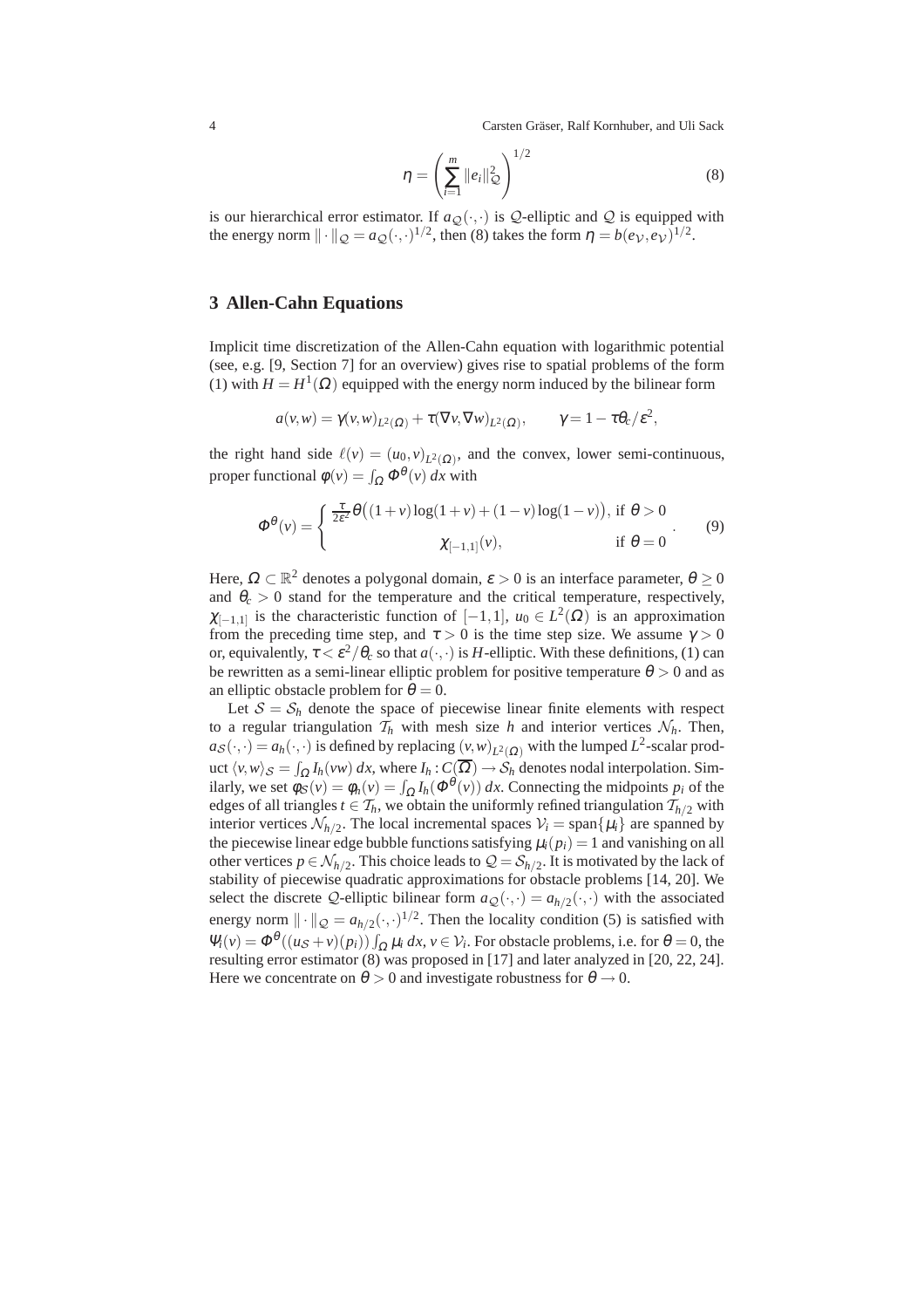4 Carsten Gräser, Ralf Kornhuber, and Uli Sack

$$
\eta = \left(\sum_{i=1}^{m} ||e_i||_{Q}^{2}\right)^{1/2}
$$
\n(8)

is our hierarchical error estimator. If  $a_{\mathcal{Q}}(\cdot,\cdot)$  is Q-elliptic and Q is equipped with the energy norm  $\|\cdot\|_{\mathcal{Q}} = a_{\mathcal{Q}}(\cdot,\cdot)^{1/2}$ , then (8) takes the form  $\eta = b(e_{\mathcal{V}},e_{\mathcal{V}})^{1/2}$ .

### **3 Allen-Cahn Equations**

Implicit time discretization of the Allen-Cahn equation with logarithmic potential (see, e.g. [9, Section 7] for an overview) gives rise to spatial problems of the form (1) with  $H = H^{1}(\Omega)$  equipped with the energy norm induced by the bilinear form

$$
a(v,w) = \gamma(v,w)_{L^2(\Omega)} + \tau(\nabla v, \nabla w)_{L^2(\Omega)}, \qquad \gamma = 1 - \tau \theta_c / \varepsilon^2,
$$

the right hand side  $\ell(v) = (u_0, v)_{L^2(\Omega)}$ , and the convex, lower semi-continuous, proper functional  $\phi(v) = \int_{\Omega} \Phi^{\theta}(v) dx$  with

$$
\Phi^{\theta}(v) = \begin{cases} \frac{\tau}{2\varepsilon^2} \theta\big((1+v)\log(1+v) + (1-v)\log(1-v)\big), \text{ if } \theta > 0\\ \chi_{[-1,1]}(v), \text{ if } \theta = 0 \end{cases} (9)
$$

Here,  $\Omega \subset \mathbb{R}^2$  denotes a polygonal domain,  $\varepsilon > 0$  is an interface parameter,  $\theta \ge 0$ and  $\theta_c > 0$  stand for the temperature and the critical temperature, respectively,  $\chi_{[-1,1]}$  is the characteristic function of  $[-1,1]$ ,  $u_0 \in L^2(\Omega)$  is an approximation from the preceding time step, and  $\tau > 0$  is the time step size. We assume  $\gamma > 0$ or, equivalently,  $\tau < \varepsilon^2/\theta_c$  so that  $a(\cdot,\cdot)$  is *H*-elliptic. With these definitions, (1) can be rewritten as a semi-linear elliptic problem for positive temperature  $\theta > 0$  and as an elliptic obstacle problem for  $\theta = 0$ .

Let  $S = S_h$  denote the space of piecewise linear finite elements with respect to a regular triangulation  $\mathcal{T}_h$  with mesh size *h* and interior vertices  $\mathcal{N}_h$ . Then,  $a_S(\cdot,\cdot) = a_h(\cdot,\cdot)$  is defined by replacing  $(v,w)_{L^2(\Omega)}$  with the lumped  $L^2$ -scalar product  $\langle v, w \rangle_{\mathcal{S}} = \int_{\Omega} I_h(vw) \, dx$ , where  $I_h: C(\Omega) \to \mathcal{S}_h$  denotes nodal interpolation. Similarly, we set  $\phi_S(v) = \phi_h(v) = \int_{\Omega} I_h(\Phi^{\theta}(v)) dx$ . Connecting the midpoints  $p_i$  of the edges of all triangles  $t \in \mathcal{T}_h$ , we obtain the uniformly refined triangulation  $\mathcal{T}_{h/2}$  with interior vertices  $\mathcal{N}_{h/2}$ . The local incremental spaces  $\mathcal{V}_i = \text{span}\{\mu_i\}$  are spanned by the piecewise linear edge bubble functions satisfying  $\mu_i(p_i) = 1$  and vanishing on all other vertices  $p \in \mathcal{N}_{h/2}$ . This choice leads to  $\mathcal{Q} = \mathcal{S}_{h/2}$ . It is motivated by the lack of stability of piecewise quadratic approximations for obstacle problems [14, 20]. We select the discrete Q-elliptic bilinear form  $a_{\mathcal{Q}}(\cdot,\cdot) = a_{h/2}(\cdot,\cdot)$  with the associated energy norm  $\|\cdot\|_{\mathcal{Q}} = a_{h/2}(\cdot,\cdot)^{1/2}$ . Then the locality condition (5) is satisfied with  $\Psi_i(v) = \Phi^{\theta}((u_{\mathcal{S}} + v)(p_i)) \int_{\Omega} \mu_i dx, v \in \mathcal{V}_i$ . For obstacle problems, i.e. for  $\theta = 0$ , the resulting error estimator (8) was proposed in [17] and later analyzed in [20, 22, 24]. Here we concentrate on  $\theta > 0$  and investigate robustness for  $\theta \rightarrow 0$ .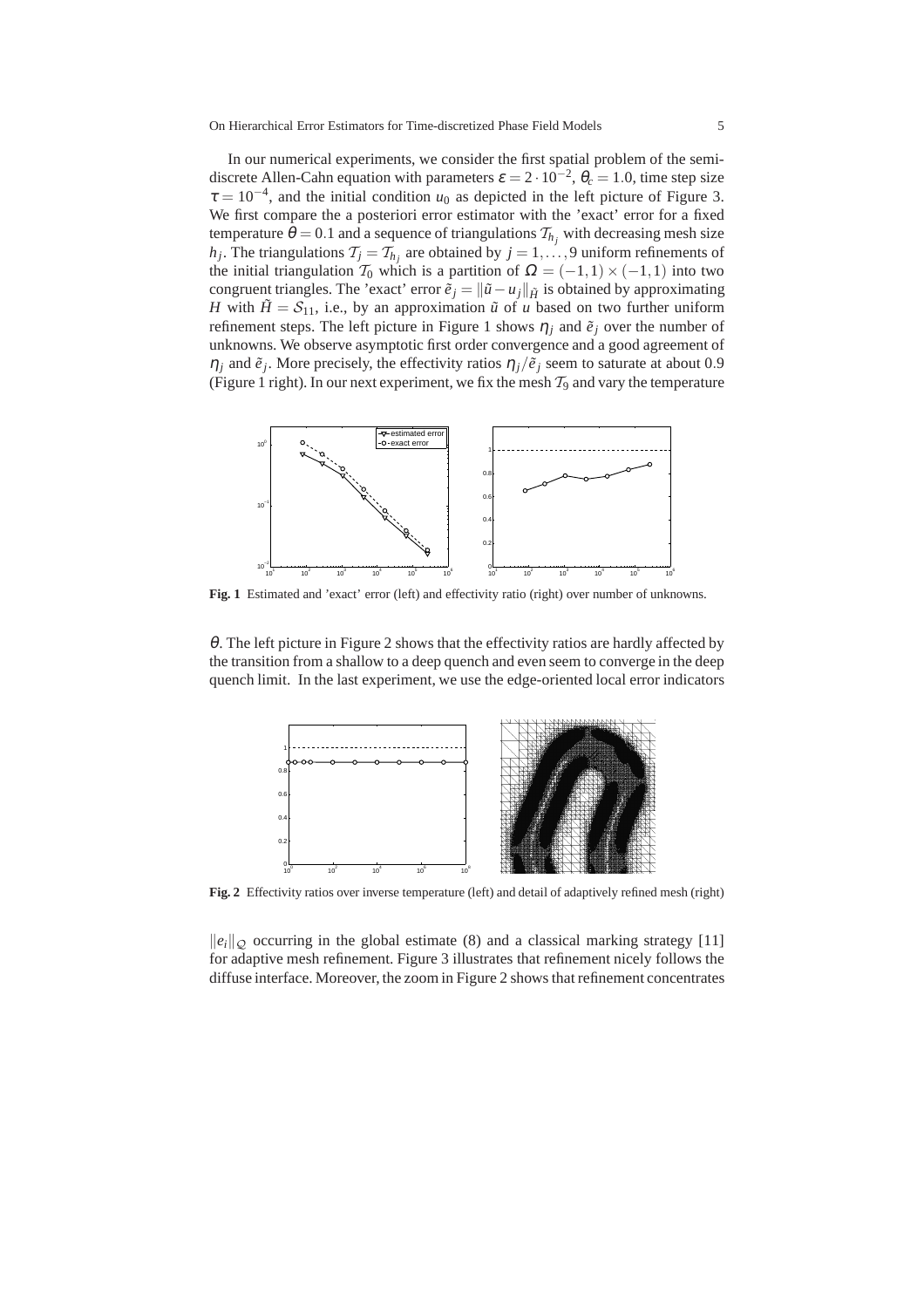On Hierarchical Error Estimators for Time-discretized Phase Field Models 5

In our numerical experiments, we consider the first spatial problem of the semidiscrete Allen-Cahn equation with parameters  $\varepsilon = 2 \cdot 10^{-2}$ ,  $\theta_c = 1.0$ , time step size  $\tau = 10^{-4}$ , and the initial condition  $u_0$  as depicted in the left picture of Figure 3. We first compare the a posteriori error estimator with the 'exact' error for a fixed temperature  $\theta = 0.1$  and a sequence of triangulations  $\mathcal{T}_{h_i}$  with decreasing mesh size *h*<sup>*j*</sup>. The triangulations  $\mathcal{T}_j = \mathcal{T}_{h_j}$  are obtained by  $j = 1, \ldots, 9$  uniform refinements of the initial triangulation  $T_0$  which is a partition of  $\Omega = (-1,1) \times (-1,1)$  into two congruent triangles. The 'exact' error  $\tilde{e}_i = ||\tilde{u} - u_i||_{\tilde{H}}$  is obtained by approximating *H* with  $\tilde{H} = S_{11}$ , i.e., by an approximation  $\tilde{u}$  of *u* based on two further uniform refinement steps. The left picture in Figure 1 shows  $\eta_j$  and  $\tilde{e}_j$  over the number of unknowns. We observe asymptotic first order convergence and a good agreement of  $\eta_j$  and  $\tilde{e}_j$ . More precisely, the effectivity ratios  $\eta_j/\tilde{e}_j$  seem to saturate at about 0.9 (Figure 1 right). In our next experiment, we fix the mesh  $\mathcal{T}_9$  and vary the temperature



Fig. 1 Estimated and 'exact' error (left) and effectivity ratio (right) over number of unknowns.

 $\theta$ . The left picture in Figure 2 shows that the effectivity ratios are hardly affected by the transition from a shallow to a deep quench and even seem to converge in the deep quench limit. In the last experiment, we use the edge-oriented local error indicators



**Fig. 2** Effectivity ratios over inverse temperature (left) and detail of adaptively refined mesh (right)

 $\|e_i\|_{\mathcal{O}}$  occurring in the global estimate (8) and a classical marking strategy [11] for adaptive mesh refinement. Figure 3 illustrates that refinement nicely follows the diffuse interface. Moreover, the zoom in Figure 2 shows that refinement concentrates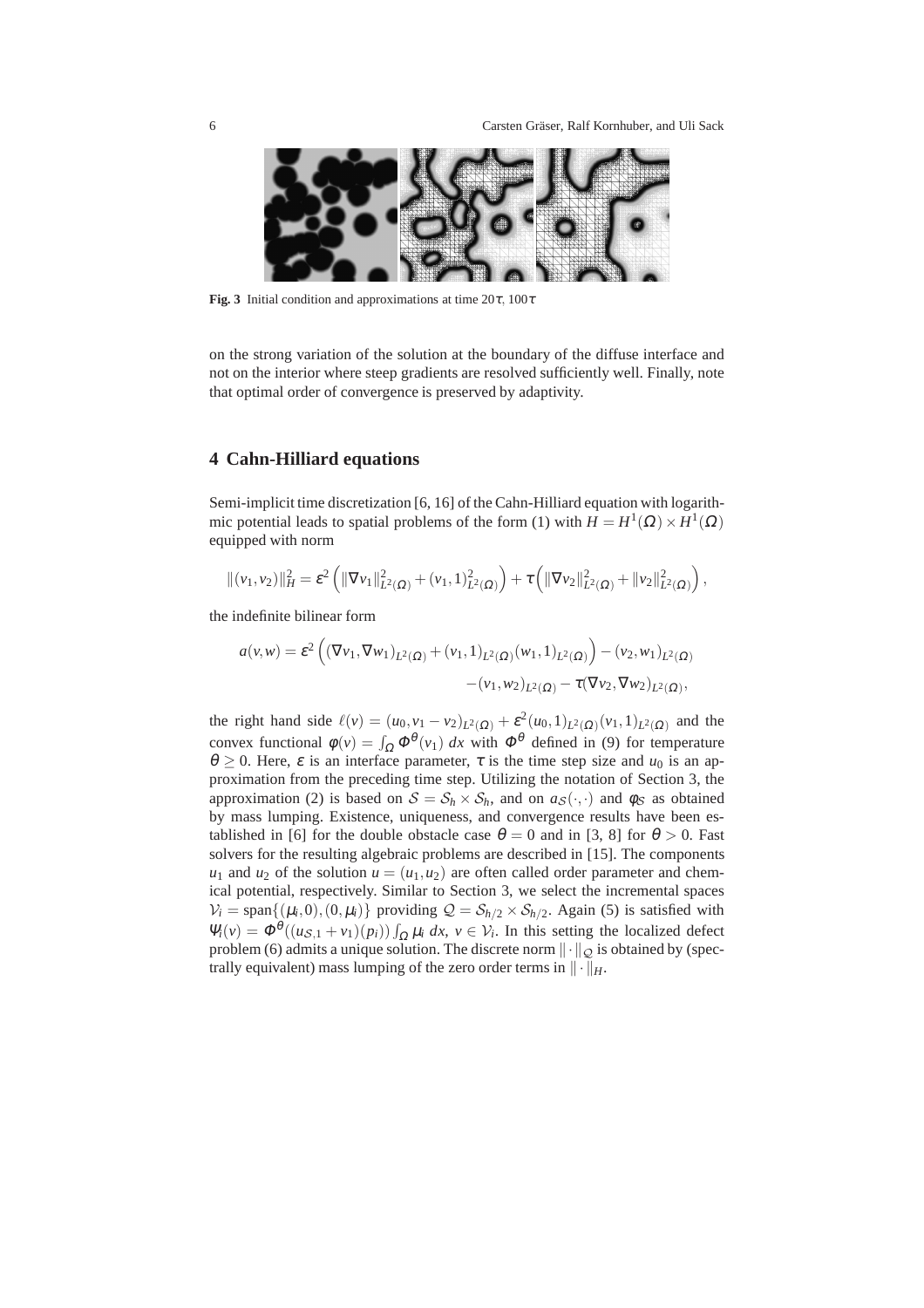

**Fig. 3** Initial condition and approximations at time  $20\tau$ ,  $100\tau$ 

on the strong variation of the solution at the boundary of the diffuse interface and not on the interior where steep gradients are resolved sufficiently well. Finally, note that optimal order of convergence is preserved by adaptivity.

## **4 Cahn-Hilliard equations**

Semi-implicit time discretization [6, 16] of the Cahn-Hilliard equation with logarithmic potential leads to spatial problems of the form (1) with  $H = H^1(\Omega) \times H^1(\Omega)$ equipped with norm

$$
\|(\nu_1,\nu_2)\|_H^2 = \varepsilon^2 \left( \|\nabla \nu_1\|_{L^2(\Omega)}^2 + (\nu_1,1)_{L^2(\Omega)}^2 \right) + \tau \left( \|\nabla \nu_2\|_{L^2(\Omega)}^2 + \|\nu_2\|_{L^2(\Omega)}^2 \right),
$$

the indefinite bilinear form

$$
a(v,w) = \varepsilon^2 \left( (\nabla v_1, \nabla w_1)_{L^2(\Omega)} + (v_1, 1)_{L^2(\Omega)} (w_1, 1)_{L^2(\Omega)} \right) - (v_2, w_1)_{L^2(\Omega)} - (v_1, w_2)_{L^2(\Omega)} - \tau (\nabla v_2, \nabla w_2)_{L^2(\Omega)},
$$

the right hand side  $\ell(v) = (u_0, v_1 - v_2)_{L^2(\Omega)} + \varepsilon^2 (u_0, 1)_{L^2(\Omega)} (v_1, 1)_{L^2(\Omega)}$  and the convex functional  $\phi(v) = \int_{\Omega} \Phi^{\theta}(v_1) dx$  with  $\Phi^{\theta}$  defined in (9) for temperature  $\theta \ge 0$ . Here,  $\varepsilon$  is an interface parameter,  $\tau$  is the time step size and  $u_0$  is an approximation from the preceding time step. Utilizing the notation of Section 3, the approximation (2) is based on  $S = S_h \times S_h$ , and on  $a_S(\cdot, \cdot)$  and  $\phi_S$  as obtained by mass lumping. Existence, uniqueness, and convergence results have been established in [6] for the double obstacle case  $\theta = 0$  and in [3, 8] for  $\theta > 0$ . Fast solvers for the resulting algebraic problems are described in [15]. The components  $u_1$  and  $u_2$  of the solution  $u = (u_1, u_2)$  are often called order parameter and chemical potential, respectively. Similar to Section 3, we select the incremental spaces  $V_i = \text{span}\{(\mu_i, 0), (0, \mu_i)\}\$ providing  $\mathcal{Q} = \mathcal{S}_{h/2} \times \mathcal{S}_{h/2}$ . Again (5) is satisfied with  $\Psi_i(v) = \Phi^{\theta}((u_{\mathcal{S},1} + v_1)(p_i)) \int_{\Omega} \mu_i dx, v \in \mathcal{V}_i$ . In this setting the localized defect problem (6) admits a unique solution. The discrete norm  $\|\cdot\|_{\mathcal{Q}}$  is obtained by (spectrally equivalent) mass lumping of the zero order terms in  $\|\cdot\|_H$ .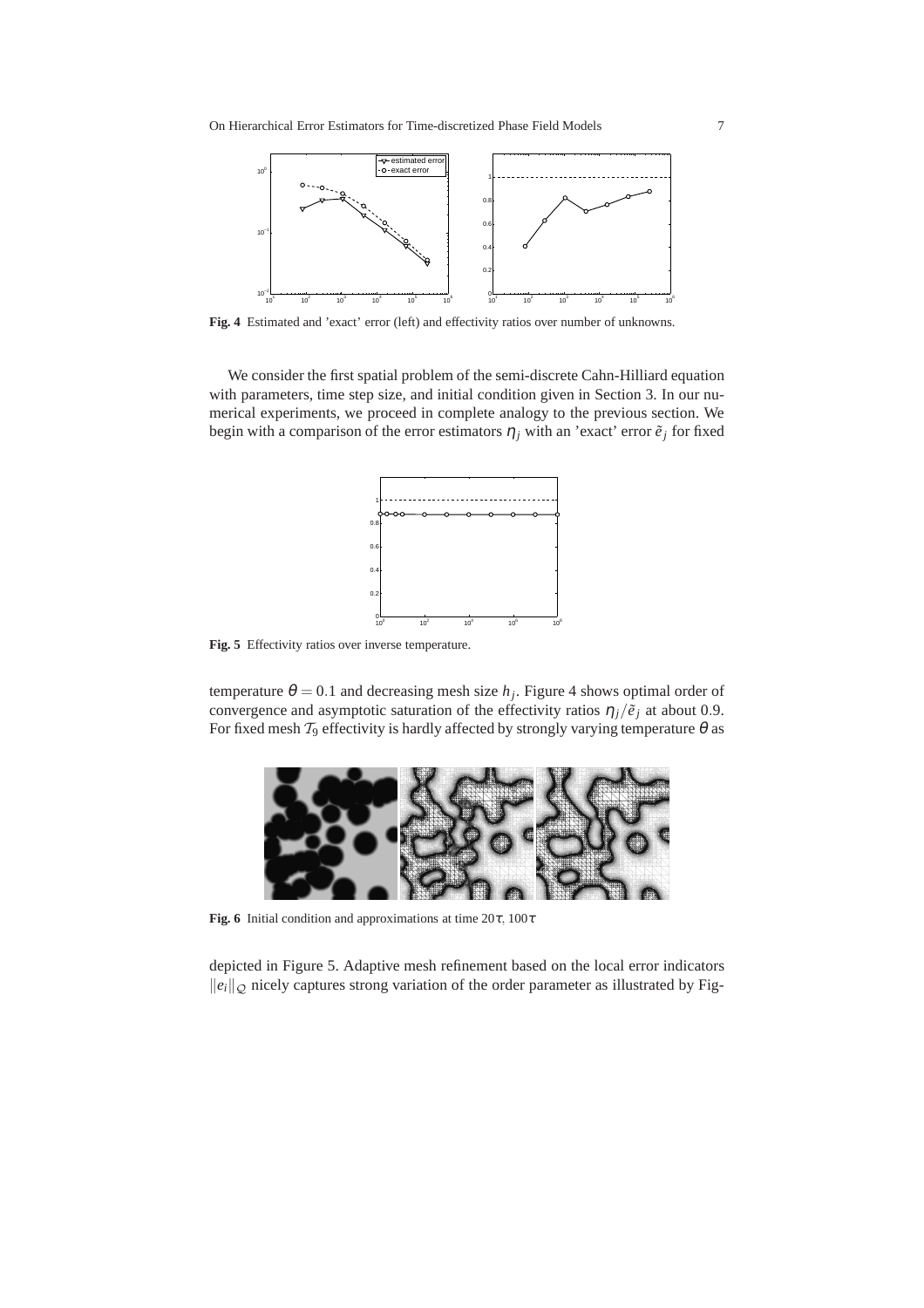

**Fig. 4** Estimated and 'exact' error (left) and effectivity ratios over number of unknowns.

We consider the first spatial problem of the semi-discrete Cahn-Hilliard equation with parameters, time step size, and initial condition given in Section 3. In our numerical experiments, we proceed in complete analogy to the previous section. We begin with a comparison of the error estimators  $\eta_j$  with an 'exact' error  $\tilde{e}_j$  for fixed



**Fig. 5** Effectivity ratios over inverse temperature.

temperature  $\theta = 0.1$  and decreasing mesh size  $h_j$ . Figure 4 shows optimal order of convergence and asymptotic saturation of the effectivity ratios  $\eta_i/\tilde{e}_i$  at about 0.9. For fixed mesh  $\mathcal{T}_9$  effectivity is hardly affected by strongly varying temperature  $\theta$  as



**Fig. 6** Initial condition and approximations at time  $20\tau$ ,  $100\tau$ 

depicted in Figure 5. Adaptive mesh refinement based on the local error indicators  $\|e_i\|_{\mathcal{Q}}$  nicely captures strong variation of the order parameter as illustrated by Fig